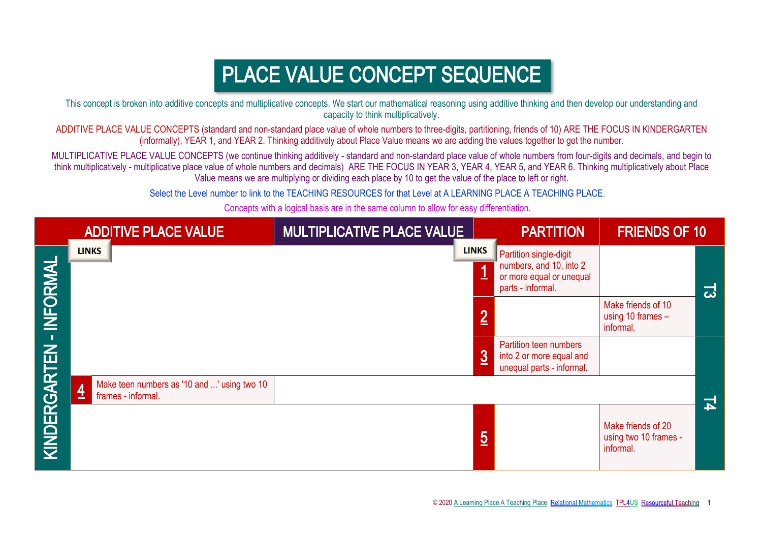## PLACE VALUE CONCEPT SEQUENCE

This concept is broken into additive concepts and multiplicative concepts. We start our mathematical reasoning using additive thinking and then develop our understanding and capacity to think multiplicatively.

ADDITIVE PLACE VALUE CONCEPTS (standard and non-standard place value of whole numbers to three-digits, partitioning, friends of 10) ARE THE FOCUS IN KINDERGARTEN (informally), YEAR 1, and YEAR 2. Thinking additively about Place Value means we are adding the values together to get the number.

MULTIPLICATIVE PLACE VALUE CONCEPTS (we continue thinking additively - standard and non-standard place value of whole numbers from four-digits and decimals, and begin to think multiplicatively - multiplicative place value of whole numbers and decimals) ARE THE FOCUS IN YEAR 3, YEAR 4, YEAR 5, and YEAR 6. Thinking multiplicatively about Place Value means we are multiplying or dividing each place by 10 to get the value of the place to left or right.

Select the Level number to link to the TEACHING RESOURCES for that Level at A LEARNING PLACE A TEACHING PLACE.

Concepts with a logical basis are in the same column to allow for easy differentiation.

|              | <b>ADDITIVE PLACE VALUE</b>                                                         | MULTIPLICATIVE PLACE VALUE |                | <b>PARTITION</b>                                                                                   | <b>FRIENDS OF 10</b>                                     |              |
|--------------|-------------------------------------------------------------------------------------|----------------------------|----------------|----------------------------------------------------------------------------------------------------|----------------------------------------------------------|--------------|
| INFORMAL     | <b>LINKS</b>                                                                        |                            | <b>LINKS</b>   | Partition single-digit<br>numbers, and 10, into 2<br>or more equal or unequal<br>parts - informal. |                                                          | ದ            |
|              |                                                                                     |                            | $\overline{2}$ |                                                                                                    | Make friends of 10<br>using 10 frames -<br>informal.     |              |
|              |                                                                                     |                            | $\overline{3}$ | Partition teen numbers<br>into 2 or more equal and<br>unequal parts - informal.                    |                                                          |              |
|              | Make teen numbers as '10 and ' using two 10<br>$\overline{4}$<br>frames - informal. |                            |                |                                                                                                    |                                                          | $\mathbf{F}$ |
| KINDERGARTEN |                                                                                     |                            | $\overline{5}$ |                                                                                                    | Make friends of 20<br>using two 10 frames -<br>informal. |              |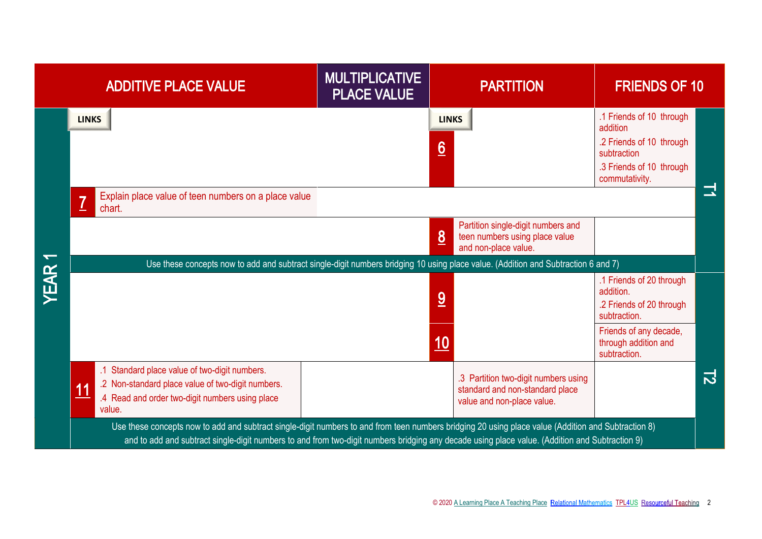|             | <b>ADDITIVE PLACE VALUE</b>                                                                                                                                                                                                                                                                           | <b>MULTIPLICATIVE</b><br><b>PLACE VALUE</b> |                                 | <b>PARTITION</b>                                                                                      | <b>FRIENDS OF 10</b>                                                                                                                                |                |
|-------------|-------------------------------------------------------------------------------------------------------------------------------------------------------------------------------------------------------------------------------------------------------------------------------------------------------|---------------------------------------------|---------------------------------|-------------------------------------------------------------------------------------------------------|-----------------------------------------------------------------------------------------------------------------------------------------------------|----------------|
|             | <b>LINKS</b><br>Explain place value of teen numbers on a place value<br>$\overline{1}$<br>chart.                                                                                                                                                                                                      |                                             | <b>LINKS</b><br>$\underline{6}$ |                                                                                                       | .1 Friends of 10 through<br>addition<br>.2 Friends of 10 through<br>subtraction<br>.3 Friends of 10 through<br>commutativity.                       | 그              |
|             | Use these concepts now to add and subtract single-digit numbers bridging 10 using place value. (Addition and Subtraction 6 and 7)                                                                                                                                                                     |                                             | 8                               | Partition single-digit numbers and<br>teen numbers using place value<br>and non-place value.          |                                                                                                                                                     |                |
| <b>YEAR</b> |                                                                                                                                                                                                                                                                                                       |                                             | 9<br>10                         |                                                                                                       | .1 Friends of 20 through<br>addition.<br>.2 Friends of 20 through<br>subtraction.<br>Friends of any decade,<br>through addition and<br>subtraction. |                |
|             | .1 Standard place value of two-digit numbers.<br>.2 Non-standard place value of two-digit numbers.<br><u>11</u><br>.4 Read and order two-digit numbers using place<br>value.                                                                                                                          |                                             |                                 | .3 Partition two-digit numbers using<br>standard and non-standard place<br>value and non-place value. |                                                                                                                                                     | $\overline{2}$ |
|             | Use these concepts now to add and subtract single-digit numbers to and from teen numbers bridging 20 using place value (Addition and Subtraction 8)<br>and to add and subtract single-digit numbers to and from two-digit numbers bridging any decade using place value. (Addition and Subtraction 9) |                                             |                                 |                                                                                                       |                                                                                                                                                     |                |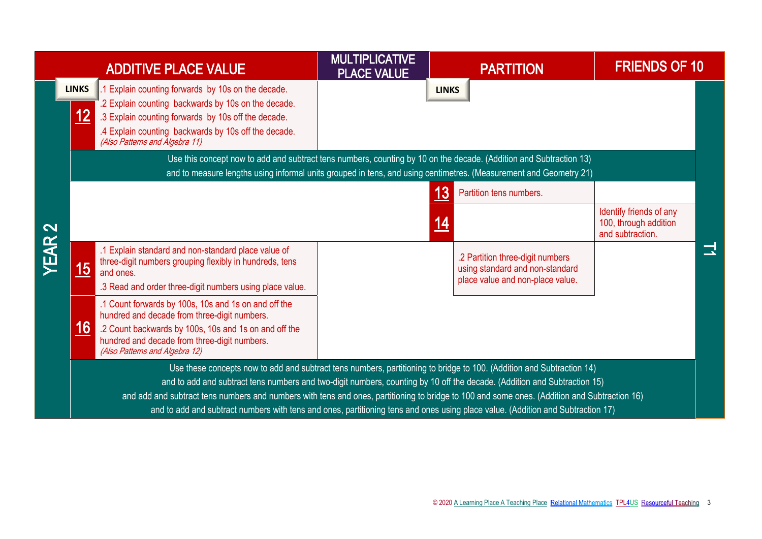|                                  |                                                                                                                                 | <b>ADDITIVE PLACE VALUE</b>                                                                                                                                                                                                                                              | <b>MULTIPLICATIVE</b><br><b>PLACE VALUE</b> |              | <b>PARTITION</b>                                                                                        | <b>FRIENDS OF 10</b>                                                 |   |  |
|----------------------------------|---------------------------------------------------------------------------------------------------------------------------------|--------------------------------------------------------------------------------------------------------------------------------------------------------------------------------------------------------------------------------------------------------------------------|---------------------------------------------|--------------|---------------------------------------------------------------------------------------------------------|----------------------------------------------------------------------|---|--|
|                                  | <b>LINKS</b><br><u> 12</u><br>(Also Patterns and Algebra 11)                                                                    | .1 Explain counting forwards by 10s on the decade.<br>.2 Explain counting backwards by 10s on the decade.<br>.3 Explain counting forwards by 10s off the decade.<br>.4 Explain counting backwards by 10s off the decade.                                                 |                                             | <b>LINKS</b> |                                                                                                         |                                                                      |   |  |
|                                  |                                                                                                                                 | Use this concept now to add and subtract tens numbers, counting by 10 on the decade. (Addition and Subtraction 13)<br>and to measure lengths using informal units grouped in tens, and using centimetres. (Measurement and Geometry 21)                                  |                                             |              |                                                                                                         |                                                                      |   |  |
|                                  |                                                                                                                                 |                                                                                                                                                                                                                                                                          |                                             | <u> 13</u>   | Partition tens numbers.                                                                                 |                                                                      |   |  |
| $\mathbf{\Omega}$<br><b>YEAR</b> |                                                                                                                                 |                                                                                                                                                                                                                                                                          |                                             | <u> 14</u>   |                                                                                                         | Identify friends of any<br>100, through addition<br>and subtraction. |   |  |
|                                  | 15<br>and ones.                                                                                                                 | .1 Explain standard and non-standard place value of<br>three-digit numbers grouping flexibly in hundreds, tens                                                                                                                                                           |                                             |              | .2 Partition three-digit numbers<br>using standard and non-standard<br>place value and non-place value. |                                                                      | 그 |  |
|                                  |                                                                                                                                 | .3 Read and order three-digit numbers using place value.                                                                                                                                                                                                                 |                                             |              |                                                                                                         |                                                                      |   |  |
|                                  |                                                                                                                                 | .1 Count forwards by 100s, 10s and 1s on and off the<br>hundred and decade from three-digit numbers.                                                                                                                                                                     |                                             |              |                                                                                                         |                                                                      |   |  |
|                                  | <u> 16</u><br>(Also Patterns and Algebra 12)                                                                                    | .2 Count backwards by 100s, 10s and 1s on and off the<br>hundred and decade from three-digit numbers.                                                                                                                                                                    |                                             |              |                                                                                                         |                                                                      |   |  |
|                                  | Use these concepts now to add and subtract tens numbers, partitioning to bridge to 100. (Addition and Subtraction 14)           |                                                                                                                                                                                                                                                                          |                                             |              |                                                                                                         |                                                                      |   |  |
|                                  |                                                                                                                                 | and to add and subtract tens numbers and two-digit numbers, counting by 10 off the decade. (Addition and Subtraction 15)<br>and add and subtract tens numbers and numbers with tens and ones, partitioning to bridge to 100 and some ones. (Addition and Subtraction 16) |                                             |              |                                                                                                         |                                                                      |   |  |
|                                  | and to add and subtract numbers with tens and ones, partitioning tens and ones using place value. (Addition and Subtraction 17) |                                                                                                                                                                                                                                                                          |                                             |              |                                                                                                         |                                                                      |   |  |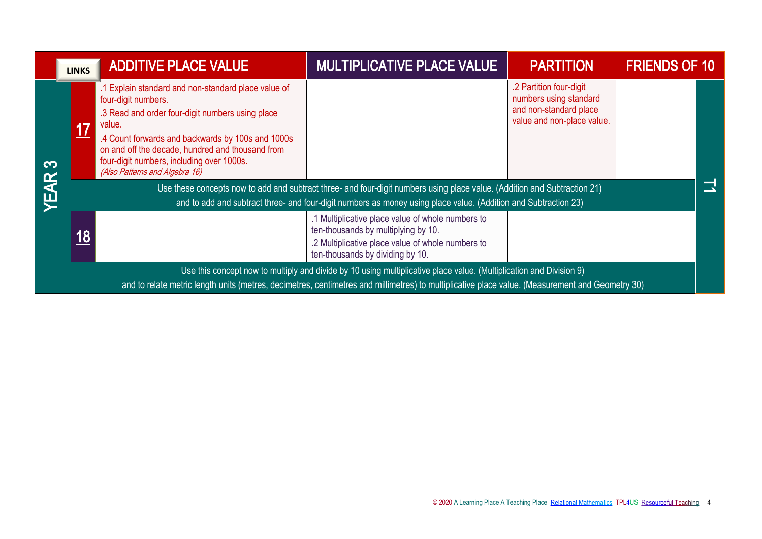|                  | <b>LINKS</b>                                                                                                    | <b>ADDITIVE PLACE VALUE</b>                                                                                                                                                                                                                                                                                                   | <b>MULTIPLICATIVE PLACE VALUE</b>                                                                                                                                                 | <b>PARTITION</b>                                                                                          | <b>FRIENDS OF 10</b> |  |
|------------------|-----------------------------------------------------------------------------------------------------------------|-------------------------------------------------------------------------------------------------------------------------------------------------------------------------------------------------------------------------------------------------------------------------------------------------------------------------------|-----------------------------------------------------------------------------------------------------------------------------------------------------------------------------------|-----------------------------------------------------------------------------------------------------------|----------------------|--|
| က<br><b>YEAR</b> | <u>17</u>                                                                                                       | Explain standard and non-standard place value of<br>four-digit numbers.<br>.3 Read and order four-digit numbers using place<br>value.<br>.4 Count forwards and backwards by 100s and 1000s<br>on and off the decade, hundred and thousand from<br>four-digit numbers, including over 1000s.<br>(Also Patterns and Algebra 16) | Use these concepts now to add and subtract three- and four-digit numbers using place value. (Addition and Subtraction 21)                                                         | .2 Partition four-digit<br>numbers using standard<br>and non-standard place<br>value and non-place value. |                      |  |
|                  | and to add and subtract three- and four-digit numbers as money using place value. (Addition and Subtraction 23) |                                                                                                                                                                                                                                                                                                                               |                                                                                                                                                                                   |                                                                                                           |                      |  |
|                  | 18                                                                                                              |                                                                                                                                                                                                                                                                                                                               | .1 Multiplicative place value of whole numbers to<br>ten-thousands by multiplying by 10.<br>.2 Multiplicative place value of whole numbers to<br>ten-thousands by dividing by 10. |                                                                                                           |                      |  |
|                  |                                                                                                                 |                                                                                                                                                                                                                                                                                                                               | Use this concept now to multiply and divide by 10 using multiplicative place value. (Multiplication and Division 9)                                                               |                                                                                                           |                      |  |
|                  |                                                                                                                 |                                                                                                                                                                                                                                                                                                                               | and to relate metric length units (metres, decimetres, centimetres and millimetres) to multiplicative place value. (Measurement and Geometry 30)                                  |                                                                                                           |                      |  |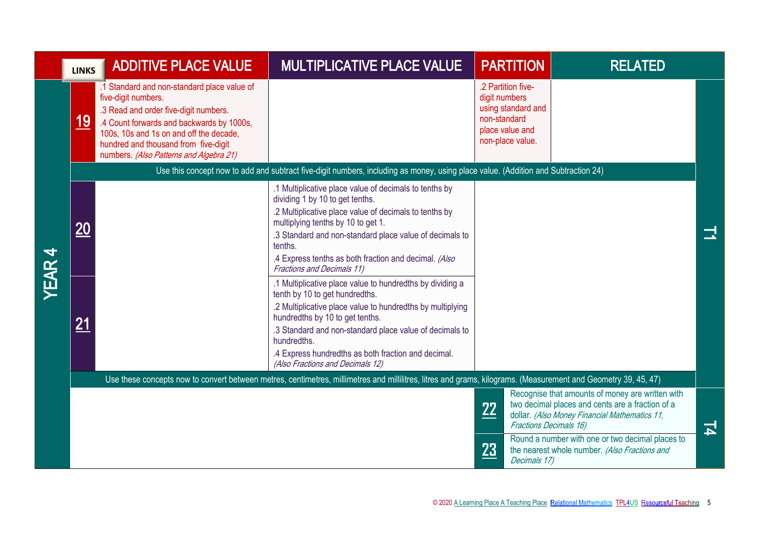|              | <b>LINKS</b> | <b>ADDITIVE PLACE VALUE</b>                                                                                                                                                                                                                                                            | <b>MULTIPLICATIVE PLACE VALUE</b>                                                                                                                                                                                                                                                                                                                                                                                                                                                                                                                                                                                                                                                                                                  | <b>PARTITION</b>                                                                                                 | <b>RELATED</b>                                                                                                                                                                         |   |
|--------------|--------------|----------------------------------------------------------------------------------------------------------------------------------------------------------------------------------------------------------------------------------------------------------------------------------------|------------------------------------------------------------------------------------------------------------------------------------------------------------------------------------------------------------------------------------------------------------------------------------------------------------------------------------------------------------------------------------------------------------------------------------------------------------------------------------------------------------------------------------------------------------------------------------------------------------------------------------------------------------------------------------------------------------------------------------|------------------------------------------------------------------------------------------------------------------|----------------------------------------------------------------------------------------------------------------------------------------------------------------------------------------|---|
|              | <u> 19</u>   | .1 Standard and non-standard place value of<br>five-digit numbers.<br>.3 Read and order five-digit numbers.<br>.4 Count forwards and backwards by 1000s,<br>100s, 10s and 1s on and off the decade,<br>hundred and thousand from five-digit<br>numbers. (Also Patterns and Algebra 21) |                                                                                                                                                                                                                                                                                                                                                                                                                                                                                                                                                                                                                                                                                                                                    | .2 Partition five-<br>digit numbers<br>using standard and<br>non-standard<br>place value and<br>non-place value. |                                                                                                                                                                                        |   |
|              |              |                                                                                                                                                                                                                                                                                        | Use this concept now to add and subtract five-digit numbers, including as money, using place value. (Addition and Subtraction 24)                                                                                                                                                                                                                                                                                                                                                                                                                                                                                                                                                                                                  |                                                                                                                  |                                                                                                                                                                                        |   |
| <b>YEAR4</b> | 20<br>21     |                                                                                                                                                                                                                                                                                        | .1 Multiplicative place value of decimals to tenths by<br>dividing 1 by 10 to get tenths.<br>.2 Multiplicative place value of decimals to tenths by<br>multiplying tenths by 10 to get 1.<br>.3 Standard and non-standard place value of decimals to<br>tenths.<br>.4 Express tenths as both fraction and decimal. (Also<br><b>Fractions and Decimals 11)</b><br>.1 Multiplicative place value to hundredths by dividing a<br>tenth by 10 to get hundredths.<br>.2 Multiplicative place value to hundredths by multiplying<br>hundredths by 10 to get tenths.<br>.3 Standard and non-standard place value of decimals to<br>hundredths.<br>.4 Express hundredths as both fraction and decimal.<br>(Also Fractions and Decimals 12) |                                                                                                                  |                                                                                                                                                                                        |   |
|              |              |                                                                                                                                                                                                                                                                                        | Use these concepts now to convert between metres, centimetres, millimetres and millilitres, litres and grams, kilograms. (Measurement and Geometry 39, 45, 47)                                                                                                                                                                                                                                                                                                                                                                                                                                                                                                                                                                     |                                                                                                                  |                                                                                                                                                                                        |   |
|              |              |                                                                                                                                                                                                                                                                                        |                                                                                                                                                                                                                                                                                                                                                                                                                                                                                                                                                                                                                                                                                                                                    | 22                                                                                                               | Recognise that amounts of money are written with<br>two decimal places and cents are a fraction of a<br>dollar. (Also Money Financial Mathematics 11,<br><b>Fractions Decimals 16)</b> | 고 |
|              |              |                                                                                                                                                                                                                                                                                        |                                                                                                                                                                                                                                                                                                                                                                                                                                                                                                                                                                                                                                                                                                                                    | 23<br>Decimals 17)                                                                                               | Round a number with one or two decimal places to<br>the nearest whole number. (Also Fractions and                                                                                      |   |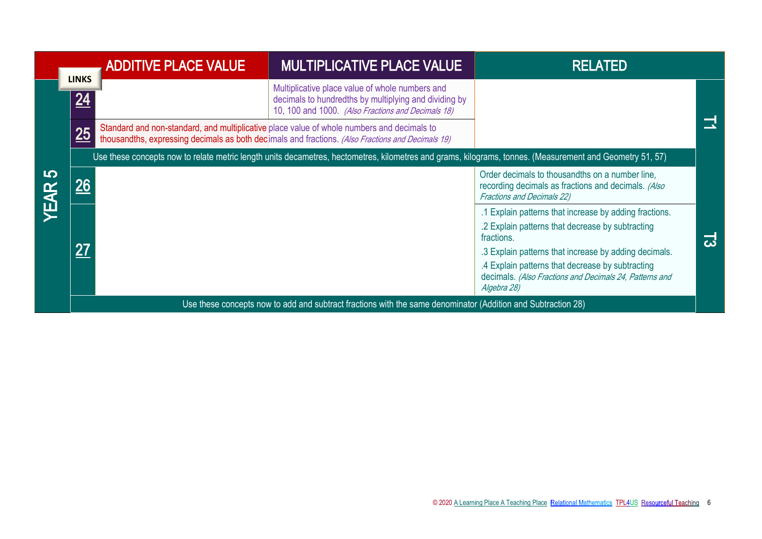|                 |                    | <b>ADDITIVE PLACE VALUE</b> | <b>MULTIPLICATIVE PLACE VALUE</b>                                                                                                                                                               | <b>RELATED</b>                                                                                                                                                                      |   |
|-----------------|--------------------|-----------------------------|-------------------------------------------------------------------------------------------------------------------------------------------------------------------------------------------------|-------------------------------------------------------------------------------------------------------------------------------------------------------------------------------------|---|
|                 | <b>LINKS</b><br>24 |                             | Multiplicative place value of whole numbers and<br>decimals to hundredths by multiplying and dividing by<br>10, 100 and 1000. (Also Fractions and Decimals 18)                                  |                                                                                                                                                                                     |   |
|                 | 25                 |                             | Standard and non-standard, and multiplicative place value of whole numbers and decimals to<br>thousandths, expressing decimals as both decimals and fractions. (Also Fractions and Decimals 19) |                                                                                                                                                                                     |   |
|                 |                    |                             | Use these concepts now to relate metric length units decametres, hectometres, kilometres and grams, kilograms, tonnes. (Measurement and Geometry 51, 57)                                        |                                                                                                                                                                                     |   |
| 5<br><b>EAR</b> |                    |                             |                                                                                                                                                                                                 | Order decimals to thousandths on a number line,<br>recording decimals as fractions and decimals. (Also<br><b>Fractions and Decimals 22)</b>                                         |   |
|                 |                    |                             |                                                                                                                                                                                                 | .1 Explain patterns that increase by adding fractions.<br>.2 Explain patterns that decrease by subtracting<br>fractions.                                                            | ದ |
|                 | 27                 |                             |                                                                                                                                                                                                 | .3 Explain patterns that increase by adding decimals.<br>.4 Explain patterns that decrease by subtracting<br>decimals. (Also Fractions and Decimals 24, Patterns and<br>Algebra 28) |   |
|                 |                    |                             | Use these concepts now to add and subtract fractions with the same denominator (Addition and Subtraction 28)                                                                                    |                                                                                                                                                                                     |   |